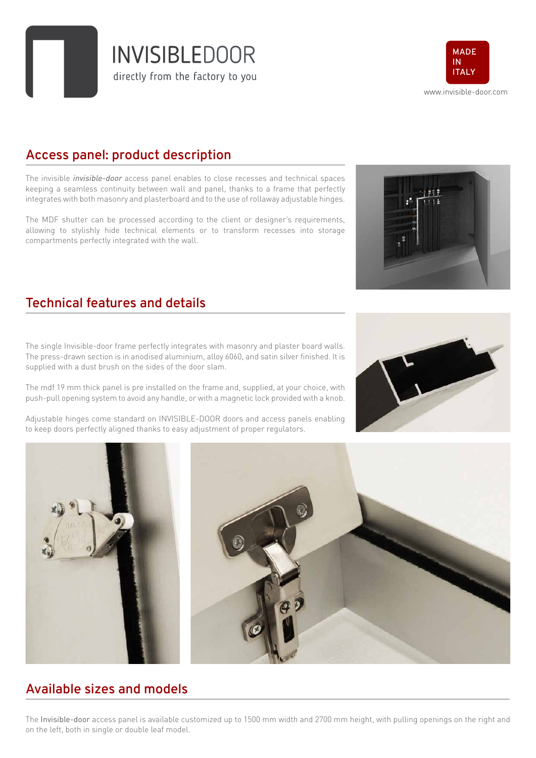directly from the factory to you

www.invisible-door.com **MADE IN ITALY**

# **Access panel: product description**

The invisible *invisible-door* access panel enables to close recesses and technical spaces keeping a seamless continuity between wall and panel, thanks to a frame that perfectly integrates with both masonry and plasterboard and to the use of rollaway adjustable hinges.

The MDF shutter can be processed according to the client or designer's requirements, allowing to stylishly hide technical elements or to transform recesses into storage compartments perfectly integrated with the wall.

#### **Technical features and details**

The single Invisible-door frame perfectly integrates with masonry and plaster board walls. The press-drawn section is in anodised aluminium, alloy 6060, and satin silver finished. It is supplied with a dust brush on the sides of the door slam.

The mdf 19 mm thick panel is pre installed on the frame and, supplied, at your choice, with push-pull opening system to avoid any handle, or with a magnetic lock provided with a knob.

Adjustable hinges come standard on INVISIBLE-DOOR doors and access panels enabling to keep doors perfectly aligned thanks to easy adjustment of proper regulators.

**Available sizes and models**

The Invisible-door access panel is available customized up to 1500 mm width and 2700 mm height, with pulling openings on the right and on the left, both in single or double leaf model.







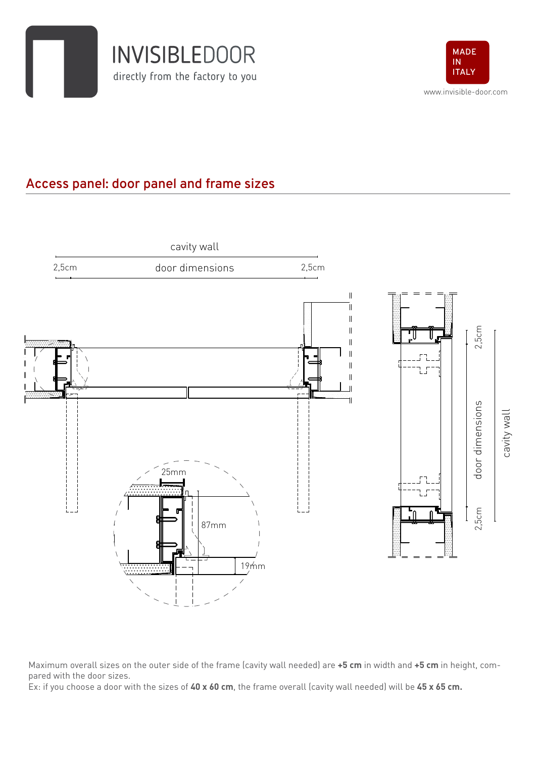



## **Access panel: door panel and frame sizes**



Maximum overall sizes on the outer side of the frame (cavity wall needed) are **+5 cm** in width and **+5 cm** in height, compared with the door sizes.

Ex: if you choose a door with the sizes of **40 x 60 cm**, the frame overall (cavity wall needed) will be **45 x 65 cm.**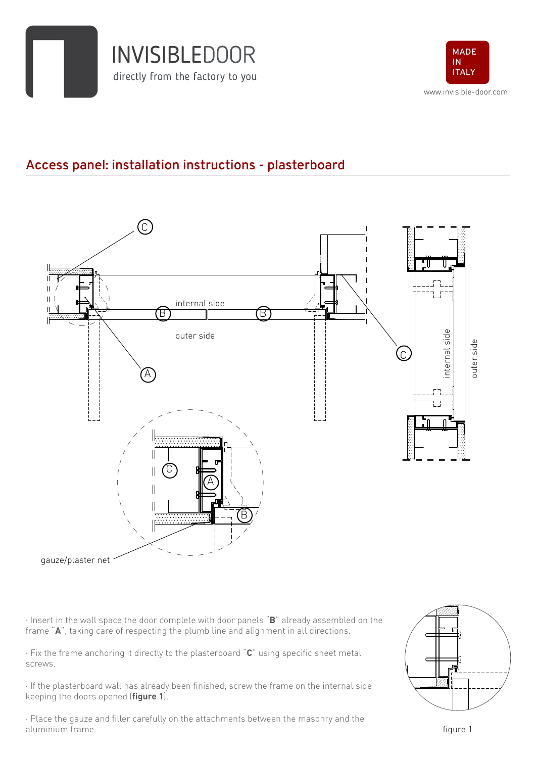



## **Access panel: installation instructions - plasterboard**



· Insert in the wall space the door complete with door panels "**B**" already assembled on the frame "**A**", taking care of respecting the plumb line and alignment in all directions.

· Fix the frame anchoring it directly to the plasterboard "**C**" using specific sheet metal screws.

· If the plasterboard wall has already been finished, screw the frame on the internal side keeping the doors opened (**figure 1**).

· Place the gauze and filler carefully on the attachments between the masonry and the aluminium frame.